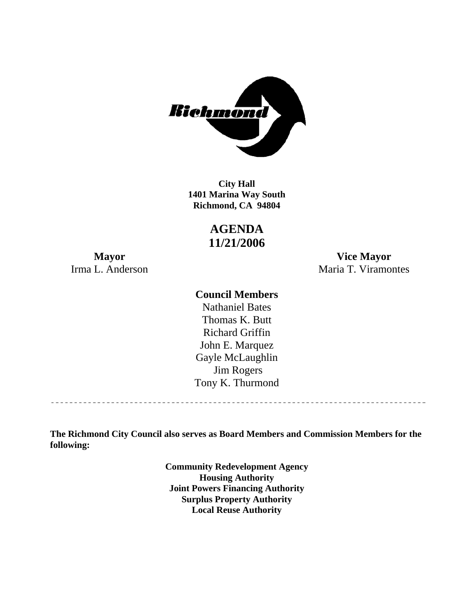

**1401 Marina Way South Richmond, CA 94804 City Hall** 

# **AGENDA 11/21/2006**

**Mayor Vice Mayor**  Irma L. Anderson Maria T. Viramontes

#### **Council Members**

Gayle McLaughlin Jim Rogers Tony K. Thurmond Nathaniel Bates Thomas K. Butt Richard Griffin John E. Marquez

**The Richmond City Council also serves as Board Members and Commission Members for the following:** 

> **Community Redevelopment Agency Housing Authority Joint Powers Financing Authority Surplus Property Authority Local Reuse Authority**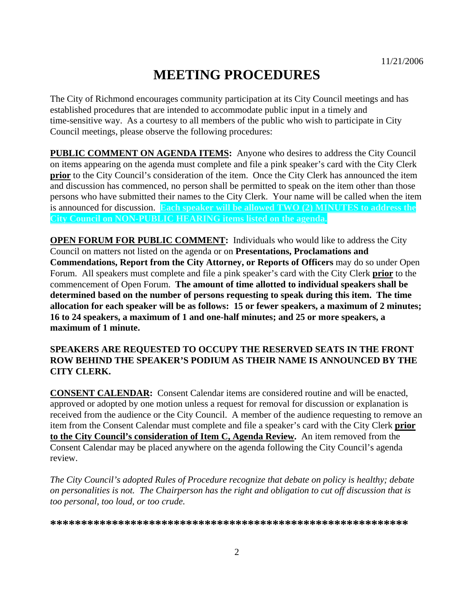# **MEETING PROCEDURES**

The City of Richmond encourages community participation at its City Council meetings and has established procedures that are intended to accommodate public input in a timely and time-sensitive way. As a courtesy to all members of the public who wish to participate in City Council meetings, please observe the following procedures:

**PUBLIC COMMENT ON AGENDA ITEMS:** Anyone who desires to address the City Council on items appearing on the agenda must complete and file a pink speaker's card with the City Clerk **prior** to the City Council's consideration of the item. Once the City Clerk has announced the item and discussion has commenced, no person shall be permitted to speak on the item other than those persons who have submitted their names to the City Clerk. Your name will be called when the item is announced for discussion. **Each speaker will be allowed TWO (2) MINUTES to address the City Council on NON-PUBLIC HEARING items listed on the agenda.** 

**OPEN FORUM FOR PUBLIC COMMENT:** Individuals who would like to address the City Council on matters not listed on the agenda or on **Presentations, Proclamations and Commendations, Report from the City Attorney, or Reports of Officers** may do so under Open Forum. All speakers must complete and file a pink speaker's card with the City Clerk **prior** to the commencement of Open Forum. **The amount of time allotted to individual speakers shall be determined based on the number of persons requesting to speak during this item. The time allocation for each speaker will be as follows: 15 or fewer speakers, a maximum of 2 minutes; 16 to 24 speakers, a maximum of 1 and one-half minutes; and 25 or more speakers, a maximum of 1 minute.** 

#### **SPEAKERS ARE REQUESTED TO OCCUPY THE RESERVED SEATS IN THE FRONT ROW BEHIND THE SPEAKER'S PODIUM AS THEIR NAME IS ANNOUNCED BY THE CITY CLERK.**

**CONSENT CALENDAR:** Consent Calendar items are considered routine and will be enacted, approved or adopted by one motion unless a request for removal for discussion or explanation is received from the audience or the City Council. A member of the audience requesting to remove an item from the Consent Calendar must complete and file a speaker's card with the City Clerk **prior to the City Council's consideration of Item C, Agenda Review.** An item removed from the Consent Calendar may be placed anywhere on the agenda following the City Council's agenda review.

*The City Council's adopted Rules of Procedure recognize that debate on policy is healthy; debate on personalities is not. The Chairperson has the right and obligation to cut off discussion that is too personal, too loud, or too crude.* 

**\*\*\*\*\*\*\*\*\*\*\*\*\*\*\*\*\*\*\*\*\*\*\*\*\*\*\*\*\*\*\*\*\*\*\*\*\*\*\*\*\*\*\*\*\*\*\*\*\*\*\*\*\*\*\*\*\*\***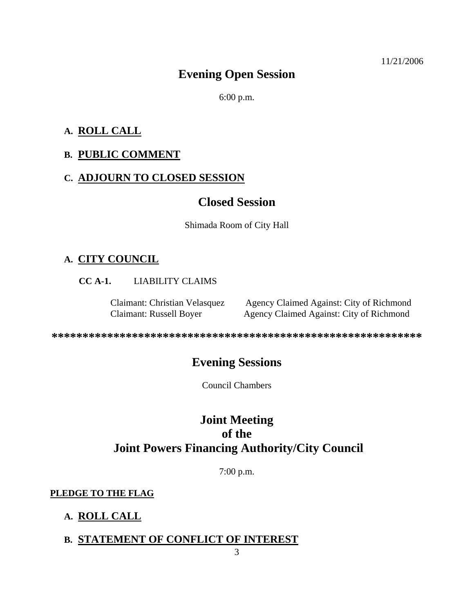# **Evening Open Session**

6:00 p.m.

#### **A. ROLL CALL**

#### **B. PUBLIC COMMENT**

#### **C. ADJOURN TO CLOSED SESSION**

# **Closed Session**

Shimada Room of City Hall

# **A. CITY COUNCIL**

**CC A-1.** LIABILITY CLAIMS

Claimant: Christian Velasquez Agency Claimed Against: City of Richmond Claimant: Russell Boyer Agency Claimed Against: City of Richmond

**\*\*\*\*\*\*\*\*\*\*\*\*\*\*\*\*\*\*\*\*\*\*\*\*\*\*\*\*\*\*\*\*\*\*\*\*\*\*\*\*\*\*\*\*\*\*\*\*\*\*\*\*\*\*\*\*\*\*\*\*** 

# **Evening Sessions**

Council Chambers

# **Joint Meeting of the Joint Powers Financing Authority/City Council**

7:00 p.m.

#### **PLEDGE TO THE FLAG**

# **A. ROLL CALL**

#### **B. STATEMENT OF CONFLICT OF INTEREST**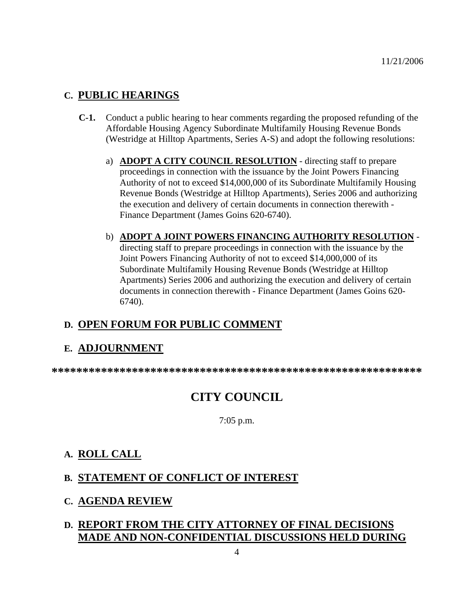### **C. PUBLIC HEARINGS**

- **C-1.** Conduct a public hearing to hear comments regarding the proposed refunding of the Affordable Housing Agency Subordinate Multifamily Housing Revenue Bonds (Westridge at Hilltop Apartments, Series A-S) and adopt the following resolutions:
	- a) **ADOPT A CITY COUNCIL RESOLUTION** directing staff to prepare proceedings in connection with the issuance by the Joint Powers Financing Authority of not to exceed \$14,000,000 of its Subordinate Multifamily Housing Revenue Bonds (Westridge at Hilltop Apartments), Series 2006 and authorizing the execution and delivery of certain documents in connection therewith - Finance Department (James Goins 620-6740).
	- b) **ADOPT A JOINT POWERS FINANCING AUTHORITY RESOLUTION** directing staff to prepare proceedings in connection with the issuance by the Joint Powers Financing Authority of not to exceed \$14,000,000 of its Subordinate Multifamily Housing Revenue Bonds (Westridge at Hilltop Apartments) Series 2006 and authorizing the execution and delivery of certain documents in connection therewith - Finance Department (James Goins 620- 6740).

# **D. OPEN FORUM FOR PUBLIC COMMENT**

# **E. ADJOURNMENT**

**\*\*\*\*\*\*\*\*\*\*\*\*\*\*\*\*\*\*\*\*\*\*\*\*\*\*\*\*\*\*\*\*\*\*\*\*\*\*\*\*\*\*\*\*\*\*\*\*\*\*\*\*\*\*\*\*\*\*\*\*** 

# **CITY COUNCIL**

7:05 p.m.

# **A. ROLL CALL**

# **B. STATEMENT OF CONFLICT OF INTEREST**

#### **C. AGENDA REVIEW**

# **D. REPORT FROM THE CITY ATTORNEY OF FINAL DECISIONS MADE AND NON-CONFIDENTIAL DISCUSSIONS HELD DURING**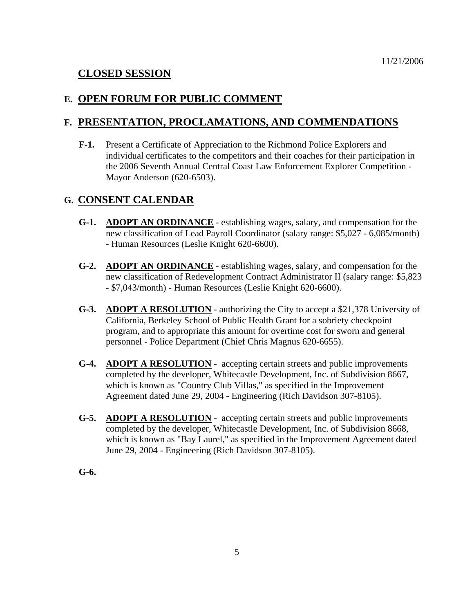# **CLOSED SESSION**

#### **E. OPEN FORUM FOR PUBLIC COMMENT**

#### **F. PRESENTATION, PROCLAMATIONS, AND COMMENDATIONS**

**F-1.** Present a Certificate of Appreciation to the Richmond Police Explorers and individual certificates to the competitors and their coaches for their participation in the 2006 Seventh Annual Central Coast Law Enforcement Explorer Competition - Mayor Anderson (620-6503).

#### **G. CONSENT CALENDAR**

- **G-1. ADOPT AN ORDINANCE** establishing wages, salary, and compensation for the new classification of Lead Payroll Coordinator (salary range: \$5,027 - 6,085/month) - Human Resources (Leslie Knight 620-6600).
- **G-2. ADOPT AN ORDINANCE** establishing wages, salary, and compensation for the new classification of Redevelopment Contract Administrator II (salary range: \$5,823 - \$7,043/month) - Human Resources (Leslie Knight 620-6600).
- **G-3. ADOPT A RESOLUTION** authorizing the City to accept a \$21,378 University of California, Berkeley School of Public Health Grant for a sobriety checkpoint program, and to appropriate this amount for overtime cost for sworn and general personnel - Police Department (Chief Chris Magnus 620-6655).
- **G-4. ADOPT A RESOLUTION** accepting certain streets and public improvements completed by the developer, Whitecastle Development, Inc. of Subdivision 8667, which is known as "Country Club Villas," as specified in the Improvement Agreement dated June 29, 2004 - Engineering (Rich Davidson 307-8105).
- **G-5. ADOPT A RESOLUTION** accepting certain streets and public improvements completed by the developer, Whitecastle Development, Inc. of Subdivision 8668, which is known as "Bay Laurel," as specified in the Improvement Agreement dated June 29, 2004 - Engineering (Rich Davidson 307-8105).

**G-6.**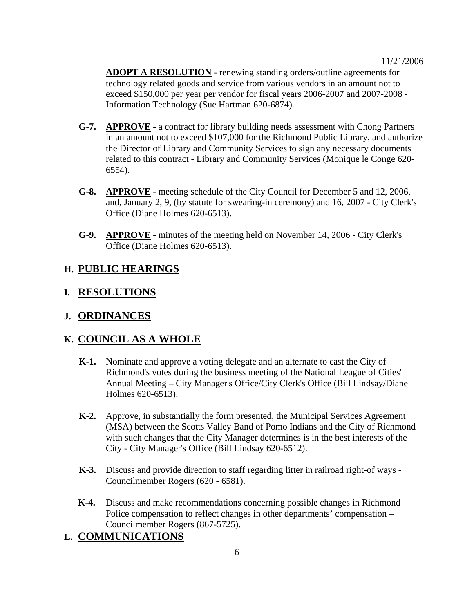**ADOPT A RESOLUTION** - renewing standing orders/outline agreements for technology related goods and service from various vendors in an amount not to exceed \$150,000 per year per vendor for fiscal years 2006-2007 and 2007-2008 - Information Technology (Sue Hartman 620-6874).

- **G-7. APPROVE** a contract for library building needs assessment with Chong Partners in an amount not to exceed \$107,000 for the Richmond Public Library, and authorize the Director of Library and Community Services to sign any necessary documents related to this contract - Library and Community Services (Monique le Conge 620- 6554).
- **G-8. APPROVE** meeting schedule of the City Council for December 5 and 12, 2006, and, January 2, 9, (by statute for swearing-in ceremony) and 16, 2007 - City Clerk's Office (Diane Holmes 620-6513).
- **G-9. APPROVE** minutes of the meeting held on November 14, 2006 City Clerk's Office (Diane Holmes 620-6513).

#### **H. PUBLIC HEARINGS**

#### **I. RESOLUTIONS**

#### **J. ORDINANCES**

# **K. COUNCIL AS A WHOLE**

- **K-1.** Nominate and approve a voting delegate and an alternate to cast the City of Richmond's votes during the business meeting of the National League of Cities' Annual Meeting – City Manager's Office/City Clerk's Office (Bill Lindsay/Diane Holmes 620-6513).
- **K-2.** Approve, in substantially the form presented, the Municipal Services Agreement (MSA) between the Scotts Valley Band of Pomo Indians and the City of Richmond with such changes that the City Manager determines is in the best interests of the City - City Manager's Office (Bill Lindsay 620-6512).
- **K-3.** Discuss and provide direction to staff regarding litter in railroad right-of ways Councilmember Rogers (620 - 6581).
- **K-4.** Discuss and make recommendations concerning possible changes in Richmond Police compensation to reflect changes in other departments' compensation – Councilmember Rogers (867-5725).

# **L. COMMUNICATIONS**